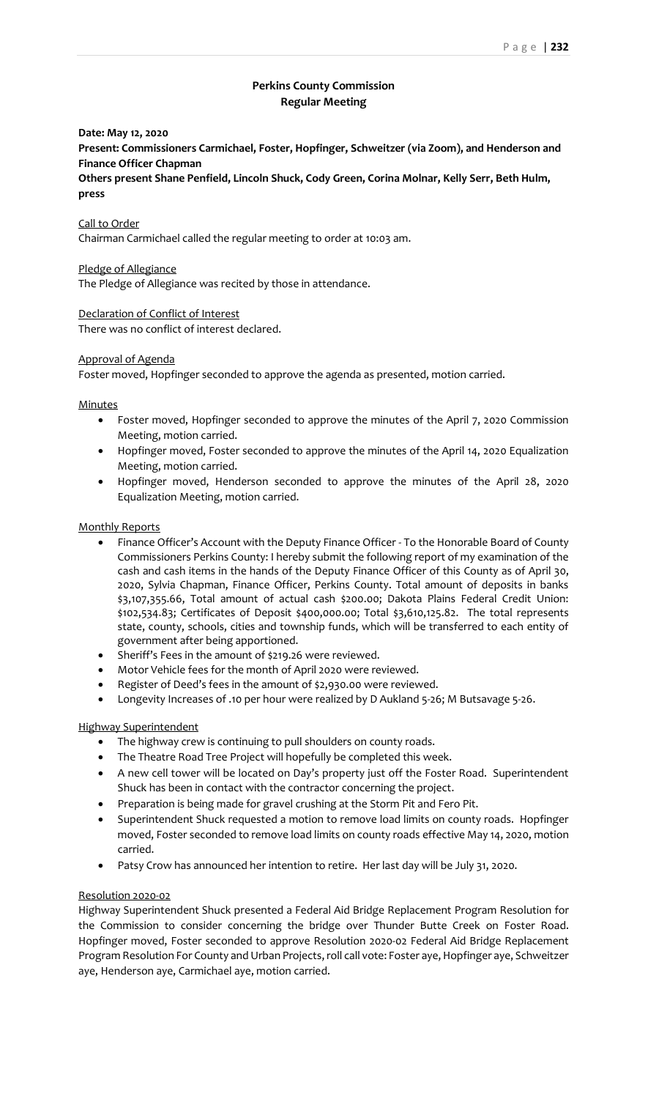# **Perkins County Commission Regular Meeting**

#### **Date: May 12, 2020**

**Present: Commissioners Carmichael, Foster, Hopfinger, Schweitzer (via Zoom), and Henderson and Finance Officer Chapman**

**Others present Shane Penfield, Lincoln Shuck, Cody Green, Corina Molnar, Kelly Serr, Beth Hulm, press**

#### Call to Order

Chairman Carmichael called the regular meeting to order at 10:03 am.

#### Pledge of Allegiance

The Pledge of Allegiance was recited by those in attendance.

#### Declaration of Conflict of Interest

There was no conflict of interest declared.

#### Approval of Agenda

Foster moved, Hopfinger seconded to approve the agenda as presented, motion carried.

### **Minutes**

- Foster moved, Hopfinger seconded to approve the minutes of the April 7, 2020 Commission Meeting, motion carried.
- Hopfinger moved, Foster seconded to approve the minutes of the April 14, 2020 Equalization Meeting, motion carried.
- Hopfinger moved, Henderson seconded to approve the minutes of the April 28, 2020 Equalization Meeting, motion carried.

### Monthly Reports

- Finance Officer's Account with the Deputy Finance Officer To the Honorable Board of County Commissioners Perkins County: I hereby submit the following report of my examination of the cash and cash items in the hands of the Deputy Finance Officer of this County as of April 30, 2020, Sylvia Chapman, Finance Officer, Perkins County. Total amount of deposits in banks \$3,107,355.66, Total amount of actual cash \$200.00; Dakota Plains Federal Credit Union: \$102,534.83; Certificates of Deposit \$400,000.00; Total \$3,610,125.82. The total represents state, county, schools, cities and township funds, which will be transferred to each entity of government after being apportioned.
- Sheriff's Fees in the amount of \$219.26 were reviewed.
- Motor Vehicle fees for the month of April 2020 were reviewed.
- Register of Deed's fees in the amount of \$2,930.00 were reviewed.
- Longevity Increases of .10 per hour were realized by D Aukland 5-26; M Butsavage 5-26.

## Highway Superintendent

- The highway crew is continuing to pull shoulders on county roads.
- The Theatre Road Tree Project will hopefully be completed this week.
- A new cell tower will be located on Day's property just off the Foster Road. Superintendent Shuck has been in contact with the contractor concerning the project.
- Preparation is being made for gravel crushing at the Storm Pit and Fero Pit.
- Superintendent Shuck requested a motion to remove load limits on county roads. Hopfinger moved, Foster seconded to remove load limits on county roads effective May 14, 2020, motion carried.
- Patsy Crow has announced her intention to retire. Her last day will be July 31, 2020.

#### Resolution 2020-02

Highway Superintendent Shuck presented a Federal Aid Bridge Replacement Program Resolution for the Commission to consider concerning the bridge over Thunder Butte Creek on Foster Road. Hopfinger moved, Foster seconded to approve Resolution 2020-02 Federal Aid Bridge Replacement Program Resolution For County and Urban Projects, roll call vote: Foster aye, Hopfinger aye, Schweitzer aye, Henderson aye, Carmichael aye, motion carried.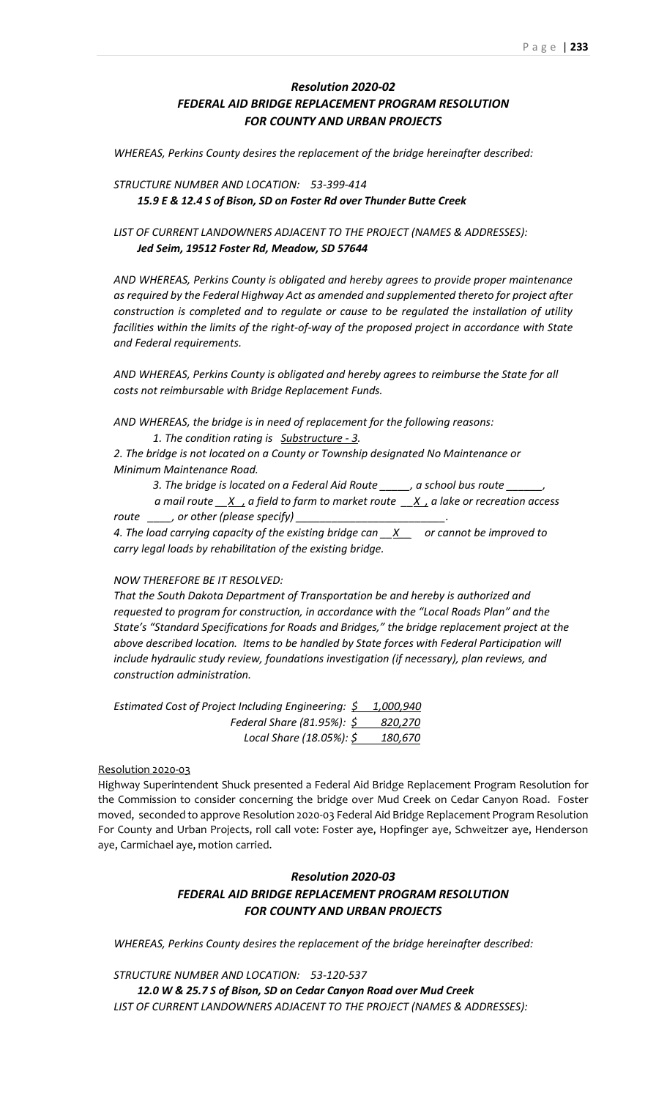# *Resolution 2020-02 FEDERAL AID BRIDGE REPLACEMENT PROGRAM RESOLUTION FOR COUNTY AND URBAN PROJECTS*

*WHEREAS, Perkins County desires the replacement of the bridge hereinafter described:*

*STRUCTURE NUMBER AND LOCATION: 53-399-414 15.9 E & 12.4 S of Bison, SD on Foster Rd over Thunder Butte Creek*

# *LIST OF CURRENT LANDOWNERS ADJACENT TO THE PROJECT (NAMES & ADDRESSES): Jed Seim, 19512 Foster Rd, Meadow, SD 57644*

*AND WHEREAS, Perkins County is obligated and hereby agrees to provide proper maintenance as required by the Federal Highway Act as amended and supplemented thereto for project after construction is completed and to regulate or cause to be regulated the installation of utility facilities within the limits of the right-of-way of the proposed project in accordance with State and Federal requirements.*

*AND WHEREAS, Perkins County is obligated and hereby agrees to reimburse the State for all costs not reimbursable with Bridge Replacement Funds.*

*AND WHEREAS, the bridge is in need of replacement for the following reasons: 1. The condition rating is Substructure - 3.*

*2. The bridge is not located on a County or Township designated No Maintenance or Minimum Maintenance Road.*

*3. The bridge is located on a Federal Aid Route \_\_\_\_\_, a school bus route \_\_\_\_\_\_,* 

 *a mail route \_\_X , a field to farm to market route \_\_X , a lake or recreation access*  route \_\_\_\_, or other (please specify)

*4. The load carrying capacity of the existing bridge can \_\_X\_\_ or cannot be improved to carry legal loads by rehabilitation of the existing bridge.*

#### *NOW THEREFORE BE IT RESOLVED:*

*That the South Dakota Department of Transportation be and hereby is authorized and requested to program for construction, in accordance with the "Local Roads Plan" and the State's "Standard Specifications for Roads and Bridges," the bridge replacement project at the above described location. Items to be handled by State forces with Federal Participation will include hydraulic study review, foundations investigation (if necessary), plan reviews, and construction administration.*

*Estimated Cost of Project Including Engineering: \$ 1,000,940 Federal Share (81.95%): \$ 820,270 Local Share (18.05%): \$ 180,670*

#### Resolution 2020-03

Highway Superintendent Shuck presented a Federal Aid Bridge Replacement Program Resolution for the Commission to consider concerning the bridge over Mud Creek on Cedar Canyon Road. Foster moved, seconded to approve Resolution 2020-03 Federal Aid Bridge Replacement Program Resolution For County and Urban Projects, roll call vote: Foster aye, Hopfinger aye, Schweitzer aye, Henderson aye, Carmichael aye, motion carried.

# *Resolution 2020-03 FEDERAL AID BRIDGE REPLACEMENT PROGRAM RESOLUTION FOR COUNTY AND URBAN PROJECTS*

*WHEREAS, Perkins County desires the replacement of the bridge hereinafter described:*

*STRUCTURE NUMBER AND LOCATION: 53-120-537 12.0 W & 25.7 S of Bison, SD on Cedar Canyon Road over Mud Creek LIST OF CURRENT LANDOWNERS ADJACENT TO THE PROJECT (NAMES & ADDRESSES):*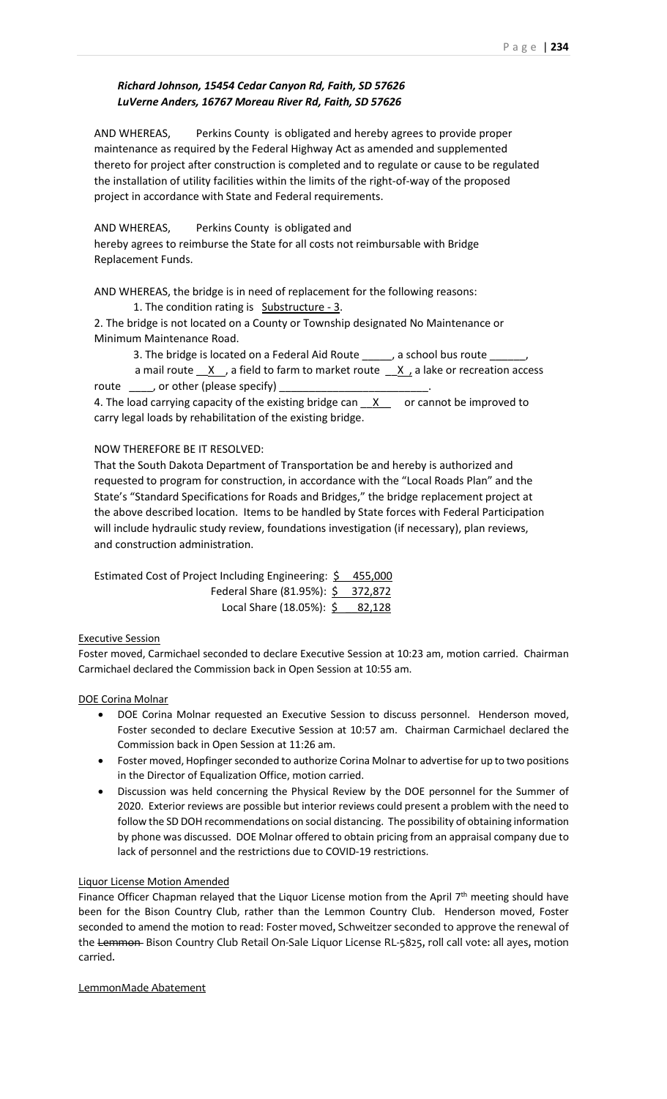# *Richard Johnson, 15454 Cedar Canyon Rd, Faith, SD 57626 LuVerne Anders, 16767 Moreau River Rd, Faith, SD 57626*

AND WHEREAS, Perkins County is obligated and hereby agrees to provide proper maintenance as required by the Federal Highway Act as amended and supplemented thereto for project after construction is completed and to regulate or cause to be regulated the installation of utility facilities within the limits of the right-of-way of the proposed project in accordance with State and Federal requirements.

AND WHEREAS, Perkins County is obligated and hereby agrees to reimburse the State for all costs not reimbursable with Bridge Replacement Funds.

AND WHEREAS, the bridge is in need of replacement for the following reasons:

1. The condition rating is Substructure - 3.

2. The bridge is not located on a County or Township designated No Maintenance or Minimum Maintenance Road.

3. The bridge is located on a Federal Aid Route \_\_\_\_\_, a school bus route \_\_\_\_\_\_,

a mail route  $\underline{X}$ , a field to farm to market route  $\underline{X}$ , a lake or recreation access route \_\_\_\_, or other (please specify)

4. The load carrying capacity of the existing bridge can  $X$  or cannot be improved to carry legal loads by rehabilitation of the existing bridge.

# NOW THEREFORE BE IT RESOLVED:

That the South Dakota Department of Transportation be and hereby is authorized and requested to program for construction, in accordance with the "Local Roads Plan" and the State's "Standard Specifications for Roads and Bridges," the bridge replacement project at the above described location. Items to be handled by State forces with Federal Participation will include hydraulic study review, foundations investigation (if necessary), plan reviews, and construction administration.

| Estimated Cost of Project Including Engineering: \$455,000 |  |
|------------------------------------------------------------|--|
| Federal Share (81.95%): \$ 372,872                         |  |
| Local Share (18.05%): \$ 82,128                            |  |

## Executive Session

Foster moved, Carmichael seconded to declare Executive Session at 10:23 am, motion carried. Chairman Carmichael declared the Commission back in Open Session at 10:55 am.

## DOE Corina Molnar

- DOE Corina Molnar requested an Executive Session to discuss personnel. Henderson moved, Foster seconded to declare Executive Session at 10:57 am. Chairman Carmichael declared the Commission back in Open Session at 11:26 am.
- Foster moved, Hopfinger seconded to authorize Corina Molnar to advertise for up to two positions in the Director of Equalization Office, motion carried.
- Discussion was held concerning the Physical Review by the DOE personnel for the Summer of 2020. Exterior reviews are possible but interior reviews could present a problem with the need to follow the SD DOH recommendations on social distancing. The possibility of obtaining information by phone was discussed. DOE Molnar offered to obtain pricing from an appraisal company due to lack of personnel and the restrictions due to COVID-19 restrictions.

## Liquor License Motion Amended

Finance Officer Chapman relayed that the Liquor License motion from the April 7<sup>th</sup> meeting should have been for the Bison Country Club, rather than the Lemmon Country Club. Henderson moved, Foster seconded to amend the motion to read: Foster moved, Schweitzer seconded to approve the renewal of the Lemmon Bison Country Club Retail On-Sale Liquor License RL-5825, roll call vote: all ayes, motion carried.

## LemmonMade Abatement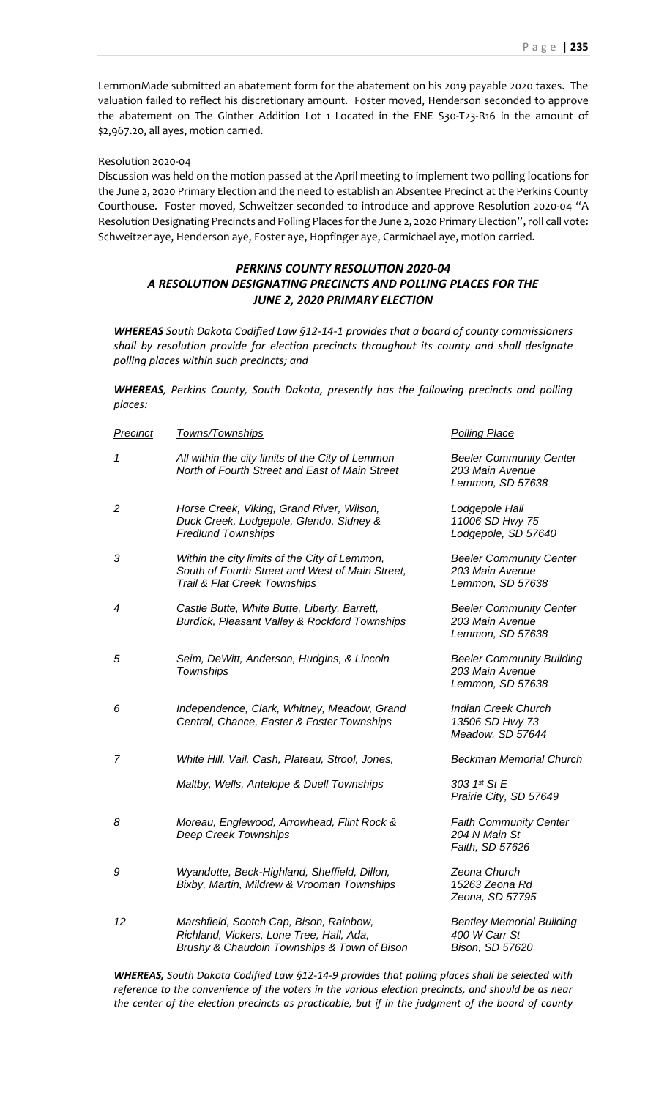LemmonMade submitted an abatement form for the abatement on his 2019 payable 2020 taxes. The valuation failed to reflect his discretionary amount. Foster moved, Henderson seconded to approve the abatement on The Ginther Addition Lot 1 Located in the ENE S30-T23-R16 in the amount of \$2,967.20, all ayes, motion carried.

#### Resolution 2020-04

Discussion was held on the motion passed at the April meeting to implement two polling locations for the June 2, 2020 Primary Election and the need to establish an Absentee Precinct at the Perkins County Courthouse. Foster moved, Schweitzer seconded to introduce and approve Resolution 2020-04 "A Resolution Designating Precincts and Polling Places for the June 2, 2020 Primary Election", roll call vote: Schweitzer aye, Henderson aye, Foster aye, Hopfinger aye, Carmichael aye, motion carried.

# *PERKINS COUNTY RESOLUTION 2020-04 A RESOLUTION DESIGNATING PRECINCTS AND POLLING PLACES FOR THE JUNE 2, 2020 PRIMARY ELECTION*

*WHEREAS South Dakota Codified Law §12-14-1 provides that a board of county commissioners shall by resolution provide for election precincts throughout its county and shall designate polling places within such precincts; and*

*WHEREAS, Perkins County, South Dakota, presently has the following precincts and polling places:* 

| <b>Precinct</b> | Towns/Townships                                                                                                                    | <b>Polling Place</b>                                                    |
|-----------------|------------------------------------------------------------------------------------------------------------------------------------|-------------------------------------------------------------------------|
| 1               | All within the city limits of the City of Lemmon<br>North of Fourth Street and East of Main Street                                 | <b>Beeler Community Center</b><br>203 Main Avenue<br>Lemmon, SD 57638   |
| $\overline{c}$  | Horse Creek, Viking, Grand River, Wilson,<br>Duck Creek, Lodgepole, Glendo, Sidney &<br><b>Fredlund Townships</b>                  | Lodgepole Hall<br>11006 SD Hwy 75<br>Lodgepole, SD 57640                |
| 3               | Within the city limits of the City of Lemmon,<br>South of Fourth Street and West of Main Street,<br>Trail & Flat Creek Townships   | <b>Beeler Community Center</b><br>203 Main Avenue<br>Lemmon, SD 57638   |
| 4               | Castle Butte, White Butte, Liberty, Barrett,<br>Burdick, Pleasant Valley & Rockford Townships                                      | <b>Beeler Community Center</b><br>203 Main Avenue<br>Lemmon, SD 57638   |
| 5               | Seim, DeWitt, Anderson, Hudgins, & Lincoln<br><b>Townships</b>                                                                     | <b>Beeler Community Building</b><br>203 Main Avenue<br>Lemmon, SD 57638 |
| 6               | Independence, Clark, Whitney, Meadow, Grand<br>Central, Chance, Easter & Foster Townships                                          | <b>Indian Creek Church</b><br>13506 SD Hwy 73<br>Meadow, SD 57644       |
| 7               | White Hill, Vail, Cash, Plateau, Strool, Jones,                                                                                    | <b>Beckman Memorial Church</b>                                          |
|                 | Maltby, Wells, Antelope & Duell Townships                                                                                          | 303 1st St E<br>Prairie City, SD 57649                                  |
| 8               | Moreau, Englewood, Arrowhead, Flint Rock &<br><b>Deep Creek Townships</b>                                                          | <b>Faith Community Center</b><br>204 N Main St<br>Faith, SD 57626       |
| 9               | Wyandotte, Beck-Highland, Sheffield, Dillon,<br>Bixby, Martin, Mildrew & Vrooman Townships                                         | Zeona Church<br>15263 Zeona Rd<br>Zeona, SD 57795                       |
| 12              | Marshfield, Scotch Cap, Bison, Rainbow,<br>Richland, Vickers, Lone Tree, Hall, Ada,<br>Brushy & Chaudoin Townships & Town of Bison | <b>Bentley Memorial Building</b><br>400 W Carr St<br>Bison, SD 57620    |
|                 |                                                                                                                                    |                                                                         |

*WHEREAS, South Dakota Codified Law §12-14-9 provides that polling places shall be selected with reference to the convenience of the voters in the various election precincts, and should be as near the center of the election precincts as practicable, but if in the judgment of the board of county*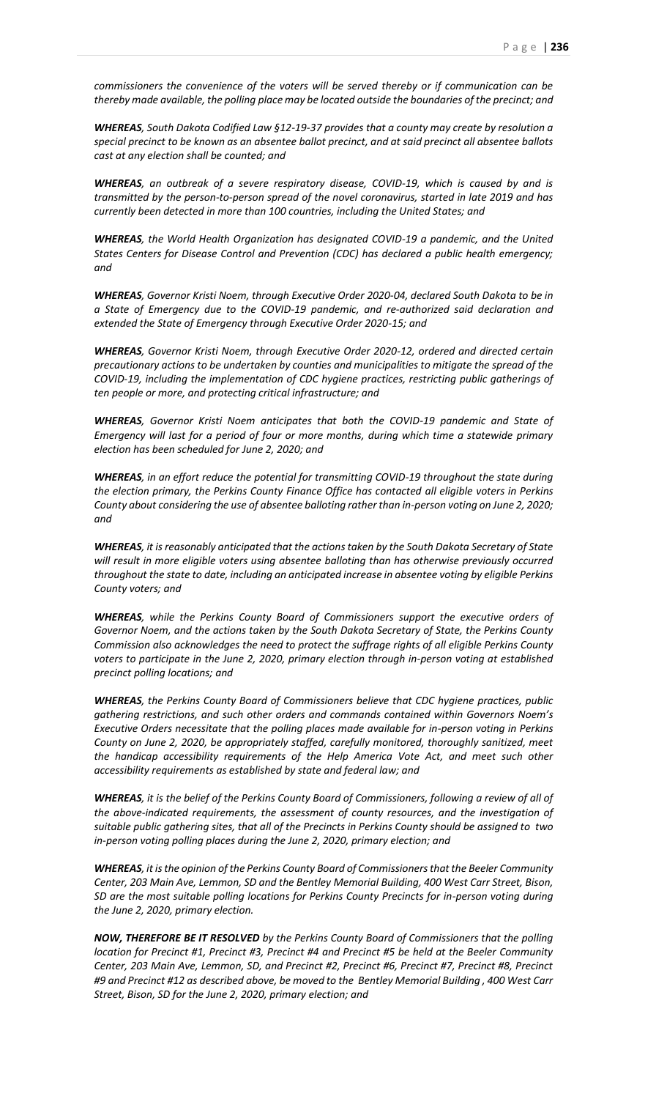*commissioners the convenience of the voters will be served thereby or if communication can be thereby made available, the polling place may be located outside the boundaries of the precinct; and*

*WHEREAS, South Dakota Codified Law §12-19-37 provides that a county may create by resolution a special precinct to be known as an absentee ballot precinct, and at said precinct all absentee ballots cast at any election shall be counted; and*

*WHEREAS, an outbreak of a severe respiratory disease, COVID-19, which is caused by and is transmitted by the person-to-person spread of the novel coronavirus, started in late 2019 and has currently been detected in more than 100 countries, including the United States; and*

*WHEREAS, the World Health Organization has designated COVID-19 a pandemic, and the United States Centers for Disease Control and Prevention (CDC) has declared a public health emergency; and*

*WHEREAS, Governor Kristi Noem, through Executive Order 2020-04, declared South Dakota to be in a State of Emergency due to the COVID-19 pandemic, and re-authorized said declaration and extended the State of Emergency through Executive Order 2020-15; and*

*WHEREAS, Governor Kristi Noem, through Executive Order 2020-12, ordered and directed certain precautionary actions to be undertaken by counties and municipalities to mitigate the spread of the COVID-19, including the implementation of CDC hygiene practices, restricting public gatherings of ten people or more, and protecting critical infrastructure; and*

*WHEREAS, Governor Kristi Noem anticipates that both the COVID-19 pandemic and State of Emergency will last for a period of four or more months, during which time a statewide primary election has been scheduled for June 2, 2020; and*

*WHEREAS, in an effort reduce the potential for transmitting COVID-19 throughout the state during the election primary, the Perkins County Finance Office has contacted all eligible voters in Perkins County about considering the use of absentee balloting rather than in-person voting on June 2, 2020; and*

*WHEREAS, it is reasonably anticipated that the actions taken by the South Dakota Secretary of State will result in more eligible voters using absentee balloting than has otherwise previously occurred throughout the state to date, including an anticipated increase in absentee voting by eligible Perkins County voters; and*

*WHEREAS, while the Perkins County Board of Commissioners support the executive orders of Governor Noem, and the actions taken by the South Dakota Secretary of State, the Perkins County Commission also acknowledges the need to protect the suffrage rights of all eligible Perkins County voters to participate in the June 2, 2020, primary election through in-person voting at established precinct polling locations; and*

*WHEREAS, the Perkins County Board of Commissioners believe that CDC hygiene practices, public gathering restrictions, and such other orders and commands contained within Governors Noem's Executive Orders necessitate that the polling places made available for in-person voting in Perkins County on June 2, 2020, be appropriately staffed, carefully monitored, thoroughly sanitized, meet the handicap accessibility requirements of the Help America Vote Act, and meet such other accessibility requirements as established by state and federal law; and*

*WHEREAS, it is the belief of the Perkins County Board of Commissioners, following a review of all of the above-indicated requirements, the assessment of county resources, and the investigation of suitable public gathering sites, that all of the Precincts in Perkins County should be assigned to two in-person voting polling places during the June 2, 2020, primary election; and*

*WHEREAS, it is the opinion of the Perkins County Board of Commissioners that the Beeler Community Center, 203 Main Ave, Lemmon, SD and the Bentley Memorial Building, 400 West Carr Street, Bison, SD are the most suitable polling locations for Perkins County Precincts for in-person voting during the June 2, 2020, primary election.*

*NOW, THEREFORE BE IT RESOLVED by the Perkins County Board of Commissioners that the polling location for Precinct #1, Precinct #3, Precinct #4 and Precinct #5 be held at the Beeler Community Center, 203 Main Ave, Lemmon, SD, and Precinct #2, Precinct #6, Precinct #7, Precinct #8, Precinct #9 and Precinct #12 as described above, be moved to the Bentley Memorial Building , 400 West Carr Street, Bison, SD for the June 2, 2020, primary election; and*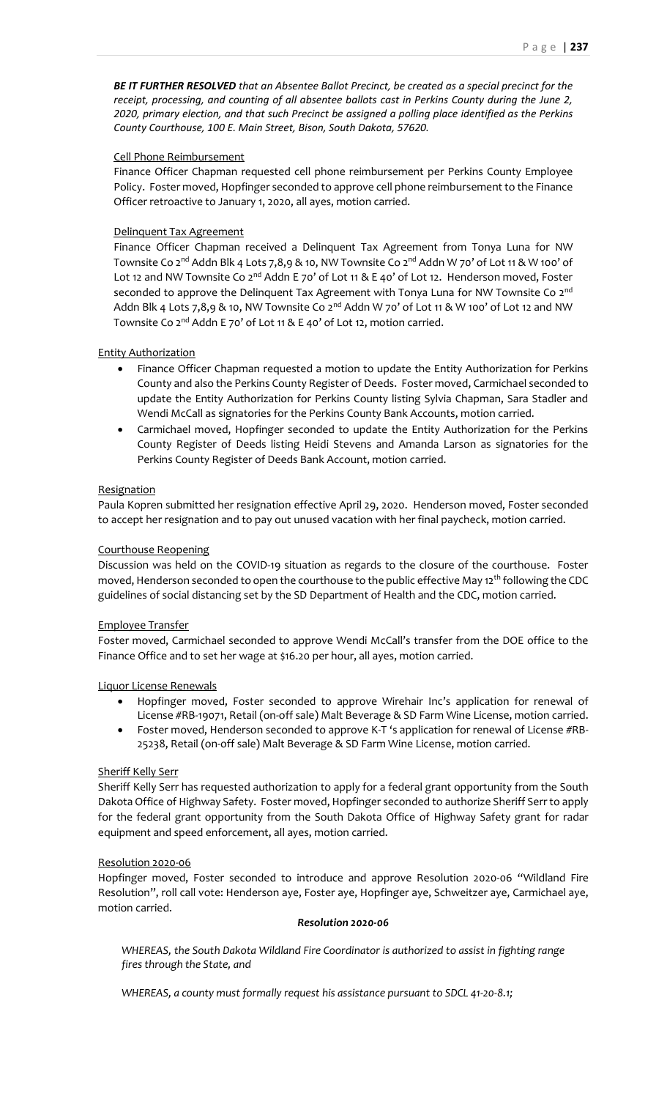## Cell Phone Reimbursement

Finance Officer Chapman requested cell phone reimbursement per Perkins County Employee Policy. Foster moved, Hopfinger seconded to approve cell phone reimbursement to the Finance Officer retroactive to January 1, 2020, all ayes, motion carried.

# Delinquent Tax Agreement

Finance Officer Chapman received a Delinquent Tax Agreement from Tonya Luna for NW Townsite Co 2<sup>nd</sup> Addn Blk 4 Lots 7,8,9 & 10, NW Townsite Co 2<sup>nd</sup> Addn W 70' of Lot 11 & W 100' of Lot 12 and NW Townsite Co 2<sup>nd</sup> Addn E 70' of Lot 11 & E 40' of Lot 12. Henderson moved, Foster seconded to approve the Delinquent Tax Agreement with Tonya Luna for NW Townsite Co 2<sup>nd</sup> Addn Blk 4 Lots 7,8,9 & 10, NW Townsite Co  $2^{nd}$  Addn W 70' of Lot 11 & W 100' of Lot 12 and NW Townsite Co 2<sup>nd</sup> Addn E 70' of Lot 11 & E 40' of Lot 12, motion carried.

# Entity Authorization

- Finance Officer Chapman requested a motion to update the Entity Authorization for Perkins County and also the Perkins County Register of Deeds. Foster moved, Carmichael seconded to update the Entity Authorization for Perkins County listing Sylvia Chapman, Sara Stadler and Wendi McCall as signatories for the Perkins County Bank Accounts, motion carried.
- Carmichael moved, Hopfinger seconded to update the Entity Authorization for the Perkins County Register of Deeds listing Heidi Stevens and Amanda Larson as signatories for the Perkins County Register of Deeds Bank Account, motion carried.

# Resignation

Paula Kopren submitted her resignation effective April 29, 2020. Henderson moved, Foster seconded to accept her resignation and to pay out unused vacation with her final paycheck, motion carried.

# Courthouse Reopening

Discussion was held on the COVID-19 situation as regards to the closure of the courthouse. Foster moved, Henderson seconded to open the courthouse to the public effective May 12<sup>th</sup> following the CDC guidelines of social distancing set by the SD Department of Health and the CDC, motion carried.

## Employee Transfer

Foster moved, Carmichael seconded to approve Wendi McCall's transfer from the DOE office to the Finance Office and to set her wage at \$16.20 per hour, all ayes, motion carried.

# Liquor License Renewals

- Hopfinger moved, Foster seconded to approve Wirehair Inc's application for renewal of License #RB-19071, Retail (on-off sale) Malt Beverage & SD Farm Wine License, motion carried.
- Foster moved, Henderson seconded to approve K-T 's application for renewal of License #RB-25238, Retail (on-off sale) Malt Beverage & SD Farm Wine License, motion carried.

## Sheriff Kelly Serr

Sheriff Kelly Serr has requested authorization to apply for a federal grant opportunity from the South Dakota Office of Highway Safety. Foster moved, Hopfinger seconded to authorize Sheriff Serr to apply for the federal grant opportunity from the South Dakota Office of Highway Safety grant for radar equipment and speed enforcement, all ayes, motion carried.

## Resolution 2020-06

Hopfinger moved, Foster seconded to introduce and approve Resolution 2020-06 "Wildland Fire Resolution", roll call vote: Henderson aye, Foster aye, Hopfinger aye, Schweitzer aye, Carmichael aye, motion carried.

## *Resolution 2020-06*

*WHEREAS, the South Dakota Wildland Fire Coordinator is authorized to assist in fighting range fires through the State, and*

*WHEREAS, a county must formally request his assistance pursuant to SDCL 41-20-8.1;*